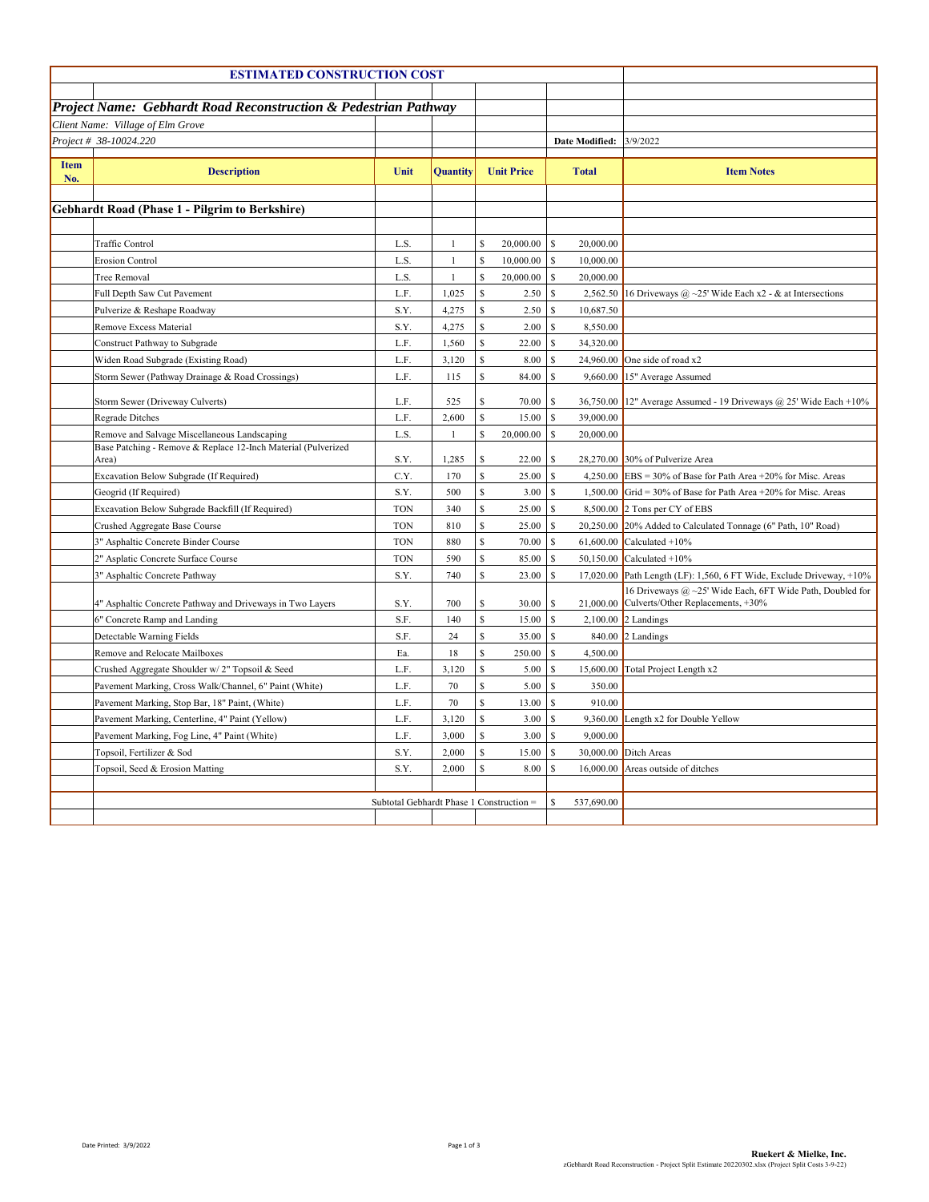| <b>ESTIMATED CONSTRUCTION COST</b>                          |                                                                            |                                          |              |             |                   |          |                       |                                                                                                          |
|-------------------------------------------------------------|----------------------------------------------------------------------------|------------------------------------------|--------------|-------------|-------------------|----------|-----------------------|----------------------------------------------------------------------------------------------------------|
|                                                             | <b>Project Name: Gebhardt Road Reconstruction &amp; Pedestrian Pathway</b> |                                          |              |             |                   |          |                       |                                                                                                          |
|                                                             |                                                                            |                                          |              |             |                   |          |                       |                                                                                                          |
| Client Name: Village of Elm Grove<br>Project # 38-10024.220 |                                                                            |                                          |              |             |                   |          | <b>Date Modified:</b> | 3/9/2022                                                                                                 |
|                                                             |                                                                            |                                          |              |             |                   |          |                       |                                                                                                          |
| <b>Item</b><br>No.                                          | <b>Description</b>                                                         | Unit                                     | Quantity     |             | <b>Unit Price</b> |          | <b>Total</b>          | <b>Item Notes</b>                                                                                        |
|                                                             | <b>Gebhardt Road (Phase 1 - Pilgrim to Berkshire)</b>                      |                                          |              |             |                   |          |                       |                                                                                                          |
|                                                             |                                                                            |                                          |              |             |                   |          |                       |                                                                                                          |
|                                                             | Traffic Control                                                            | L.S.                                     | $\mathbf{1}$ | S           | 20,000.00         | S        | 20,000.00             |                                                                                                          |
|                                                             | Erosion Control                                                            | L.S.                                     | $\mathbf{1}$ | \$          | 10,000.00         | S        | 10,000.00             |                                                                                                          |
|                                                             | Tree Removal                                                               | L.S.                                     | $\mathbf{1}$ | \$          | 20,000.00         | S        | 20,000.00             |                                                                                                          |
|                                                             | Full Depth Saw Cut Pavement                                                | L.F.                                     | 1,025        | \$          | 2.50S             |          |                       | 2,562.50 16 Driveways @ ~25' Wide Each x2 - & at Intersections                                           |
|                                                             | Pulverize & Reshape Roadway                                                | S.Y.                                     | 4,275        | \$          | 2.50S             |          | 10,687.50             |                                                                                                          |
|                                                             | Remove Excess Material                                                     | S.Y.                                     | 4,275        | \$          | 2.00              | S        | 8,550.00              |                                                                                                          |
|                                                             | Construct Pathway to Subgrade                                              | L.F.                                     | 1,560        | \$          | 22.00             | S        | 34,320.00             |                                                                                                          |
|                                                             | Widen Road Subgrade (Existing Road)                                        | L.F.                                     | 3,120        | \$          | 8.00 \$           |          |                       | 24,960.00 One side of road $x2$                                                                          |
|                                                             | Storm Sewer (Pathway Drainage & Road Crossings)                            | L.F.                                     | 115          | \$          | 84.00             | S        | 9,660.00              | 15" Average Assumed                                                                                      |
|                                                             | Storm Sewer (Driveway Culverts)                                            | L.F.                                     | 525          | \$          | 70.00             | -S       |                       | 36,750.00 12" Average Assumed - 19 Driveways @ 25' Wide Each +10%                                        |
|                                                             | <b>Regrade Ditches</b>                                                     | L.F.                                     | 2,600        | \$          | 15.00             | s        | 39,000.00             |                                                                                                          |
|                                                             | Remove and Salvage Miscellaneous Landscaping                               | L.S.                                     | $\mathbf{1}$ | \$          | 20,000.00         | <b>S</b> | 20,000.00             |                                                                                                          |
|                                                             | Base Patching - Remove & Replace 12-Inch Material (Pulverized              |                                          |              |             |                   |          |                       |                                                                                                          |
|                                                             | Area)                                                                      | S.Y.                                     | 1,285        | \$          | 22.00             | -S       |                       | 28,270.00 30% of Pulverize Area                                                                          |
|                                                             | Excavation Below Subgrade (If Required)                                    | C.Y.                                     | 170          | \$          | 25.00 S           |          |                       | 4,250.00 EBS = 30% of Base for Path Area +20% for Misc. Areas                                            |
|                                                             | Geogrid (If Required)                                                      | S.Y.                                     | 500          | \$          | 3.00 S            |          |                       | 1,500.00 Grid = 30% of Base for Path Area +20% for Misc. Areas                                           |
|                                                             | Excavation Below Subgrade Backfill (If Required)                           | <b>TON</b>                               | 340          | $\mathbf S$ | 25.00 S           |          |                       | $8,500.00$ 2 Tons per CY of EBS                                                                          |
|                                                             | Crushed Aggregate Base Course                                              | <b>TON</b>                               | 810          | $\mathbf S$ | 25.00             | S        |                       | 20,250.00 20% Added to Calculated Tonnage (6" Path, 10" Road)                                            |
|                                                             | 3" Asphaltic Concrete Binder Course                                        | <b>TON</b>                               | 880          | \$          | 70.00             | S        |                       | 61,600.00 Calculated $+10%$                                                                              |
|                                                             | 2" Asplatic Concrete Surface Course                                        | <b>TON</b>                               | 590          | \$          | 85.00             | S        |                       | 50,150.00 Calculated $+10%$                                                                              |
|                                                             | 3" Asphaltic Concrete Pathway                                              | S.Y.                                     | 740          | \$          | 23.00             | <b>S</b> |                       | 17,020.00 Path Length (LF): 1,560, 6 FT Wide, Exclude Driveway, $+10\%$                                  |
|                                                             | 4" Asphaltic Concrete Pathway and Driveways in Two Layers                  | S.Y.                                     | 700          | \$          |                   |          |                       | 16 Driveways @ ~25' Wide Each, 6FT Wide Path, Doubled for<br>21,000.00 Culverts/Other Replacements, +30% |
|                                                             | 6" Concrete Ramp and Landing                                               | S.F.                                     | 140          | S           | 15.00             | S        |                       | $2,100.00$ 2 Landings                                                                                    |
|                                                             | Detectable Warning Fields                                                  | S.F.                                     | 24           | \$          | 35.00 \$          |          |                       | 840.00 2 Landings                                                                                        |
|                                                             | Remove and Relocate Mailboxes                                              | Ea.                                      | 18           | \$          | $250.00$ \$       |          | 4,500.00              |                                                                                                          |
|                                                             | Crushed Aggregate Shoulder w/2" Topsoil & Seed                             | L.F.                                     | 3,120        | \$          | 5.00              | S        |                       | 15,600.00 Total Project Length x2                                                                        |
|                                                             | Pavement Marking, Cross Walk/Channel, 6" Paint (White)                     | L.F.                                     | 70           | \$          | 5.00              | S        | 350.00                |                                                                                                          |
|                                                             | Pavement Marking, Stop Bar, 18" Paint, (White)                             | L.F.                                     | $70\,$       | $\mathbf S$ | 13.00 S           |          | 910.00                |                                                                                                          |
|                                                             | Pavement Marking, Centerline, 4" Paint (Yellow)                            | L.F.                                     | 3,120        | \$          | 3.00 S            |          | 9,360.00              | Length x2 for Double Yellow                                                                              |
|                                                             | Pavement Marking, Fog Line, 4" Paint (White)                               | L.F.                                     | 3,000        | \$          | 3.00              | -S       | 9,000.00              |                                                                                                          |
|                                                             | Topsoil, Fertilizer & Sod                                                  | S.Y.                                     | 2,000        | \$          | 15.00             | s        |                       | 30,000.00 Ditch Areas                                                                                    |
|                                                             | Topsoil, Seed & Erosion Matting                                            | S.Y.                                     | 2,000        | \$          | 8.00              | -S       |                       | 16,000.00 Areas outside of ditches                                                                       |
|                                                             |                                                                            |                                          |              |             |                   |          |                       |                                                                                                          |
|                                                             |                                                                            | Subtotal Gebhardt Phase 1 Construction = |              |             |                   | S        | 537,690.00            |                                                                                                          |
|                                                             |                                                                            |                                          |              |             |                   |          |                       |                                                                                                          |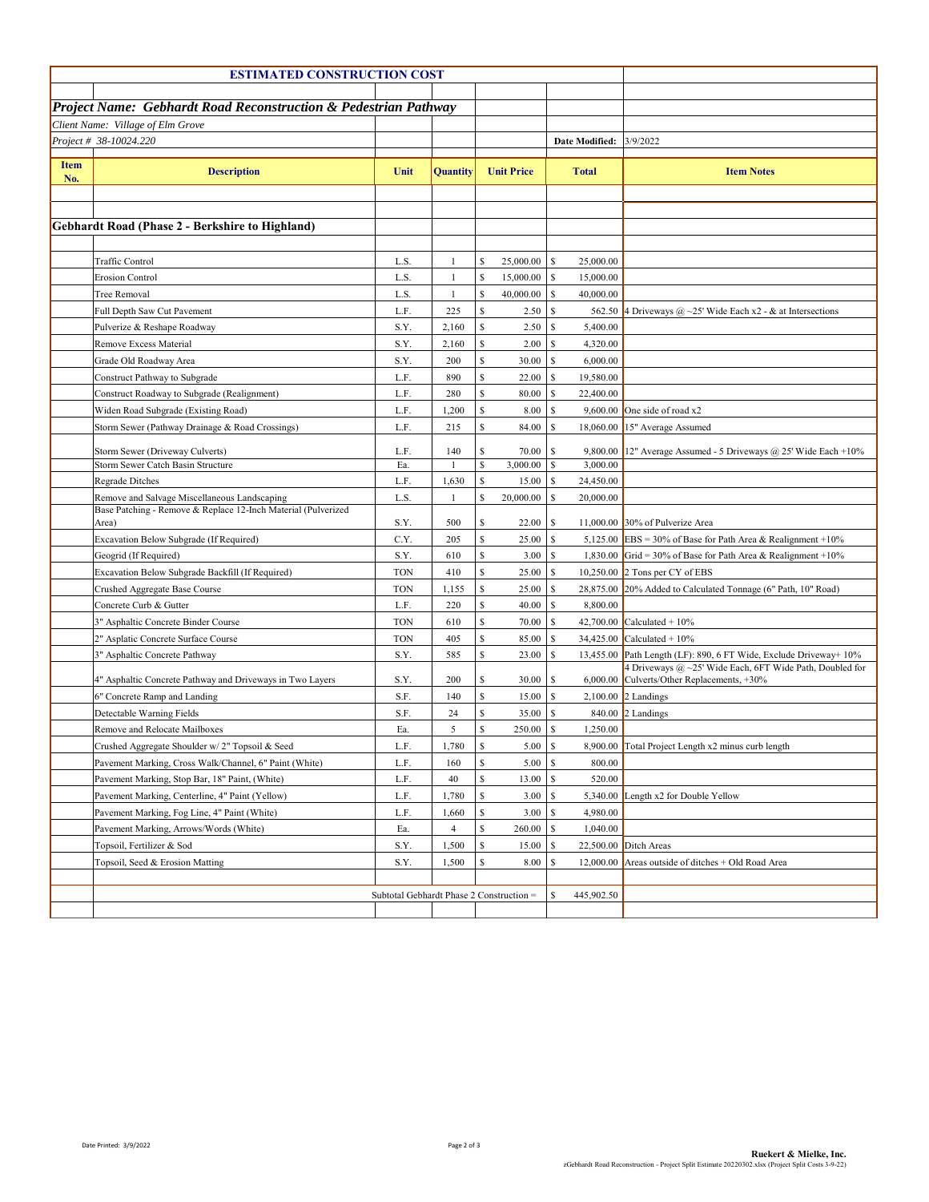| <b>ESTIMATED CONSTRUCTION COST</b>                          |                                                                 |                                          |                |    |                     |                      |                                                                   |  |  |  |  |
|-------------------------------------------------------------|-----------------------------------------------------------------|------------------------------------------|----------------|----|---------------------|----------------------|-------------------------------------------------------------------|--|--|--|--|
|                                                             |                                                                 |                                          |                |    |                     |                      |                                                                   |  |  |  |  |
|                                                             | Project Name: Gebhardt Road Reconstruction & Pedestrian Pathway |                                          |                |    |                     |                      |                                                                   |  |  |  |  |
| Client Name: Village of Elm Grove<br>Project # 38-10024.220 |                                                                 |                                          |                |    |                     |                      |                                                                   |  |  |  |  |
|                                                             |                                                                 |                                          |                |    |                     | Date Modified:       | 3/9/2022                                                          |  |  |  |  |
| <b>Item</b><br>No.                                          | <b>Description</b>                                              | Unit                                     | Quantity       |    | <b>Unit Price</b>   | <b>Total</b>         | <b>Item Notes</b>                                                 |  |  |  |  |
|                                                             |                                                                 |                                          |                |    |                     |                      |                                                                   |  |  |  |  |
|                                                             |                                                                 |                                          |                |    |                     |                      |                                                                   |  |  |  |  |
|                                                             | <b>Gebhardt Road (Phase 2 - Berkshire to Highland)</b>          |                                          |                |    |                     |                      |                                                                   |  |  |  |  |
|                                                             |                                                                 |                                          |                |    |                     |                      |                                                                   |  |  |  |  |
|                                                             | Traffic Control                                                 | L.S.                                     | $\mathbf{1}$   | \$ | 25,000.00           | S<br>25,000.00       |                                                                   |  |  |  |  |
|                                                             | <b>Erosion Control</b>                                          | L.S.                                     | $\mathbf{1}$   | \$ | 15,000.00           | S<br>15,000.00       |                                                                   |  |  |  |  |
|                                                             | <b>Tree Removal</b>                                             | L.S.                                     | $\mathbf{1}$   | \$ | 40,000.00           | S<br>40,000.00       |                                                                   |  |  |  |  |
|                                                             | Full Depth Saw Cut Pavement                                     | L.F.                                     | 225            | \$ | 2.50                | -S                   | 562.50 4 Driveways @ ~25' Wide Each x2 - & at Intersections       |  |  |  |  |
|                                                             | Pulverize & Reshape Roadway                                     | S.Y.                                     | 2,160          | \$ | 2.50                | S<br>5,400.00        |                                                                   |  |  |  |  |
|                                                             | Remove Excess Material                                          | S.Y.                                     | 2,160          | \$ | 2.00                | S<br>4,320.00        |                                                                   |  |  |  |  |
|                                                             | Grade Old Roadway Area                                          | S.Y.                                     | 200            | \$ | 30.00               | S<br>6,000.00        |                                                                   |  |  |  |  |
|                                                             | Construct Pathway to Subgrade                                   | L.F.                                     | 890            | \$ | 22.00               | S<br>19,580.00       |                                                                   |  |  |  |  |
|                                                             | Construct Roadway to Subgrade (Realignment)                     | L.F.                                     | 280            | \$ | 80.00               | S<br>22,400.00       |                                                                   |  |  |  |  |
|                                                             | Widen Road Subgrade (Existing Road)                             | L.F.                                     | 1,200          | \$ | 8.00                | S<br>9,600.00        | One side of road x2                                               |  |  |  |  |
|                                                             | Storm Sewer (Pathway Drainage & Road Crossings)                 | L.F.                                     | 215            | \$ | 84.00               | S                    | 18,060.00 15" Average Assumed                                     |  |  |  |  |
|                                                             | Storm Sewer (Driveway Culverts)                                 | L.F.                                     | 140            | \$ | 70.00               | -S                   | 9,800.00 12" Average Assumed - 5 Driveways @ 25' Wide Each +10%   |  |  |  |  |
|                                                             | Storm Sewer Catch Basin Structure                               | Ea.                                      | 1              | \$ |                     | 3,000.00             |                                                                   |  |  |  |  |
|                                                             | Regrade Ditches                                                 | L.F.                                     | 1,630          | \$ | $15.00$ \$          | 24,450.00            |                                                                   |  |  |  |  |
|                                                             | Remove and Salvage Miscellaneous Landscaping                    | L.S.                                     | $\mathbf{1}$   | \$ | 20,000.00           | S<br>20,000.00       |                                                                   |  |  |  |  |
|                                                             | Base Patching - Remove & Replace 12-Inch Material (Pulverized   | S.Y.                                     | 500            | \$ | 22.00               | S                    | 11,000.00 30% of Pulverize Area                                   |  |  |  |  |
|                                                             | Area)<br>Excavation Below Subgrade (If Required)                | C.Y.                                     | 205            | \$ | 25.00               | <b>S</b>             | 5,125.00 EBS = 30% of Base for Path Area & Realignment +10%       |  |  |  |  |
|                                                             | Geogrid (If Required)                                           | S.Y.                                     | 610            | \$ | 3.00                | -S                   | 1,830.00 Grid = 30% of Base for Path Area & Realignment +10%      |  |  |  |  |
|                                                             | Excavation Below Subgrade Backfill (If Required)                | <b>TON</b>                               | 410            | \$ | 25.00               | S                    | 10,250.00 $\sqrt{2}$ Tons per CY of EBS                           |  |  |  |  |
|                                                             | Crushed Aggregate Base Course                                   | <b>TON</b>                               | 1,155          | \$ | 25.00               | <b>S</b>             | 28,875.00 20% Added to Calculated Tonnage (6" Path, 10" Road)     |  |  |  |  |
|                                                             | Concrete Curb & Gutter                                          | L.F.                                     | 220            | \$ | 40.00               | S<br>8,800.00        |                                                                   |  |  |  |  |
|                                                             | 3" Asphaltic Concrete Binder Course                             | <b>TON</b>                               | 610            | \$ | 70.00               | -S                   | 42,700.00 Calculated + $10\%$                                     |  |  |  |  |
|                                                             | 2" Asplatic Concrete Surface Course                             | <b>TON</b>                               | 405            | \$ | 85.00               | -S<br>34,425.00      | Calculated $+10%$                                                 |  |  |  |  |
|                                                             | 3" Asphaltic Concrete Pathway                                   | S.Y.                                     | 585            | \$ | 23.00               | S                    | 13,455.00 Path Length (LF): 890, 6 FT Wide, Exclude Driveway+ 10% |  |  |  |  |
|                                                             |                                                                 |                                          |                |    |                     |                      | 4 Driveways @ ~25' Wide Each, 6FT Wide Path, Doubled for          |  |  |  |  |
|                                                             | 4" Asphaltic Concrete Pathway and Driveways in Two Layers       | S.Y.                                     | 200            | \$ | 30.00               | S                    | 6,000.00 Culverts/Other Replacements, +30%                        |  |  |  |  |
|                                                             | 6" Concrete Ramp and Landing                                    | S.F.                                     | 140            | \$ | 15.00               | S                    | $2,100.00$ 2 Landings                                             |  |  |  |  |
|                                                             | Detectable Warning Fields                                       | S.F.                                     | 24             | \$ | 35.00               | S                    | 840.00 2 Landings                                                 |  |  |  |  |
|                                                             | Remove and Relocate Mailboxes                                   | Ea.                                      | 5              | \$ | 250.00              | <b>S</b><br>1,250.00 |                                                                   |  |  |  |  |
|                                                             | Crushed Aggregate Shoulder w/2" Topsoil & Seed                  | L.F.                                     | 1,780          | S  | 5.00 <sub>8</sub>   |                      | 8,900.00 Total Project Length x2 minus curb length                |  |  |  |  |
|                                                             | Pavement Marking, Cross Walk/Channel, 6" Paint (White)          | L.F.                                     | 160            | \$ | 5.00 S              | 800.00               |                                                                   |  |  |  |  |
|                                                             | Pavement Marking, Stop Bar, 18" Paint, (White)                  | L.F.                                     | 40             | \$ | $13.00 \, \text{S}$ | 520.00               |                                                                   |  |  |  |  |
|                                                             | Pavement Marking, Centerline, 4" Paint (Yellow)                 | L.F.                                     | 1,780          | \$ | 3.00 S              |                      | 5,340.00 Length x2 for Double Yellow                              |  |  |  |  |
|                                                             | Pavement Marking, Fog Line, 4" Paint (White)                    | L.F.                                     | 1,660          | \$ | 3.00 S              | 4.980.00             |                                                                   |  |  |  |  |
|                                                             | Pavement Marking, Arrows/Words (White)                          | Ea.                                      | $\overline{4}$ | \$ |                     | 1,040.00             |                                                                   |  |  |  |  |
|                                                             | Topsoil, Fertilizer & Sod                                       | S.Y.                                     | 1,500          | \$ | 15.00 \$            |                      | 22,500.00 Ditch Areas                                             |  |  |  |  |
|                                                             | Topsoil, Seed & Erosion Matting                                 | S.Y.                                     | 1,500          | \$ | 8.00 <sub>5</sub>   |                      | 12,000.00 Areas outside of ditches $+$ Old Road Area              |  |  |  |  |
|                                                             |                                                                 | S<br>445,902.50                          |                |    |                     |                      |                                                                   |  |  |  |  |
|                                                             |                                                                 | Subtotal Gebhardt Phase 2 Construction = |                |    |                     |                      |                                                                   |  |  |  |  |